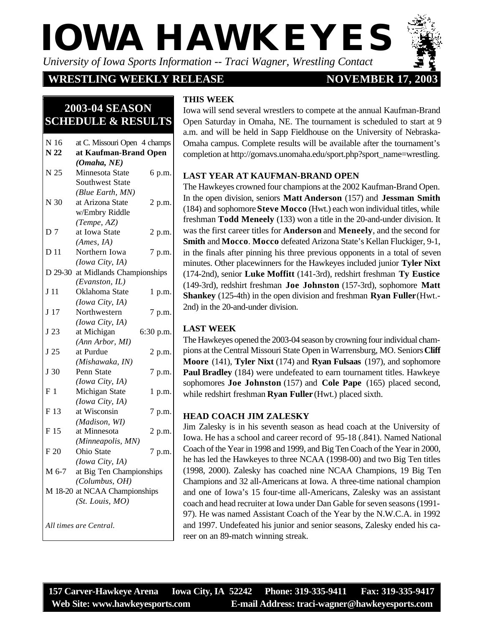# **IOWA HAWKEYES**

*University of Iowa Sports Information -- Traci Wagner, Wrestling Contact*

#### **WRESTLING WEEKLY RELEASE**

### **NOVEMBER 17, 20**

### **2003-04 SEASON SCHEDULE & RESULTS**

| N 16            | at C. Missouri Open 4 champs  |           |  |  |  |
|-----------------|-------------------------------|-----------|--|--|--|
| N <sub>22</sub> | at Kaufman-Brand Open         |           |  |  |  |
|                 | (Omaha, NE)                   |           |  |  |  |
| N 25            | Minnesota State               | 6 p.m.    |  |  |  |
|                 | <b>Southwest State</b>        |           |  |  |  |
|                 | (Blue Earth, MN)              |           |  |  |  |
| N 30            | at Arizona State              | 2 p.m.    |  |  |  |
|                 | w/Embry Riddle                |           |  |  |  |
|                 | (Tempe, AZ)                   |           |  |  |  |
| D 7             | at Iowa State                 | 2 p.m.    |  |  |  |
|                 | (Ames, IA)                    |           |  |  |  |
| D 11            | Northern Iowa                 | 7 p.m.    |  |  |  |
|                 | (Iowa City, IA)               |           |  |  |  |
| D 29-30         | at Midlands Championships     |           |  |  |  |
|                 | (Evanston, IL)                |           |  |  |  |
| J <sub>11</sub> | Oklahoma State                | 1 p.m.    |  |  |  |
|                 | (Iowa City, IA)               |           |  |  |  |
| J17             | Northwestern                  | 7 p.m.    |  |  |  |
|                 | (Iowa City, IA)               |           |  |  |  |
| J 23            | at Michigan                   | 6:30 p.m. |  |  |  |
|                 | (Ann Arbor, MI)               |           |  |  |  |
| J 25            | at Purdue                     | 2 p.m.    |  |  |  |
|                 | (Mishawaka, IN)               |           |  |  |  |
| J 30            | Penn State                    | 7 p.m.    |  |  |  |
|                 | (Iowa City, IA)               |           |  |  |  |
| F <sub>1</sub>  | Michigan State                | 1 p.m.    |  |  |  |
|                 | (Iowa City, IA)               |           |  |  |  |
| F 13            | at Wisconsin                  | 7 p.m.    |  |  |  |
|                 | (Madison, WI)                 |           |  |  |  |
| F 15            | at Minnesota                  | 2 p.m.    |  |  |  |
|                 | (Minneapolis, MN)             |           |  |  |  |
| F 20            | Ohio State                    | 7 p.m.    |  |  |  |
|                 | (Iowa City, IA)               |           |  |  |  |
| M 6-7           | at Big Ten Championships      |           |  |  |  |
|                 | (Columbus, OH)                |           |  |  |  |
|                 | M 18-20 at NCAA Championships |           |  |  |  |
|                 | (St. Louis, MO)               |           |  |  |  |
|                 |                               |           |  |  |  |
|                 | All times are Central.        |           |  |  |  |
|                 |                               |           |  |  |  |

#### **THIS WEEK**

Iowa will send several wrestlers to compete at the annual Kaufman-Brand Open Saturday in Omaha, NE. The tournament is scheduled to start at 9 a.m. and will be held in Sapp Fieldhouse on the University of Nebraska-Omaha campus. Complete results will be available after the tournament's completion at http://gomavs.unomaha.edu/sport.php?sport\_name=wrestling.

#### **LAST YEAR AT KAUFMAN-BRAND OPEN**

The Hawkeyes crowned four champions at the 2002 Kaufman-Brand Open. In the open division, seniors **Matt Anderson** (157) and **Jessman Smith** (184) and sophomore **Steve Mocco** (Hwt.) each won individual titles, while freshman **Todd Meneely** (133) won a title in the 20-and-under division. It was the first career titles for **Anderson** and **Meneely**, and the second for **Smith** and **Mocco**. **Mocco** defeated Arizona State's Kellan Fluckiger, 9-1, in the finals after pinning his three previous opponents in a total of seven minutes. Other placewinners for the Hawkeyes included junior **Tyler Nixt** (174-2nd), senior **Luke Moffitt** (141-3rd), redshirt freshman **Ty Eustice** (149-3rd), redshirt freshman **Joe Johnston** (157-3rd), sophomore **Matt Shankey** (125-4th) in the open division and freshman **Ryan Fuller** (Hwt.- 2nd) in the 20-and-under division.

#### **LAST WEEK**

The Hawkeyes opened the 2003-04 season by crowning four individual champions at the Central Missouri State Open in Warrensburg, MO. Seniors **Cliff Moore** (141), **Tyler Nixt** (174) and **Ryan Fulsaas** (197), and sophomore **Paul Bradley** (184) were undefeated to earn tournament titles. Hawkeye sophomores **Joe Johnston** (157) and **Cole Pape** (165) placed second, while redshirt freshman **Ryan Fuller** (Hwt.) placed sixth.

#### **HEAD COACH JIM ZALESKY**

Jim Zalesky is in his seventh season as head coach at the University of Iowa. He has a school and career record of 95-18 (.841). Named National Coach of the Year in 1998 and 1999, and Big Ten Coach of the Year in 2000, he has led the Hawkeyes to three NCAA (1998-00) and two Big Ten titles (1998, 2000). Zalesky has coached nine NCAA Champions, 19 Big Ten Champions and 32 all-Americans at Iowa. A three-time national champion and one of Iowa's 15 four-time all-Americans, Zalesky was an assistant coach and head recruiter at Iowa under Dan Gable for seven seasons (1991- 97). He was named Assistant Coach of the Year by the N.W.C.A. in 1992 and 1997. Undefeated his junior and senior seasons, Zalesky ended his career on an 89-match winning streak.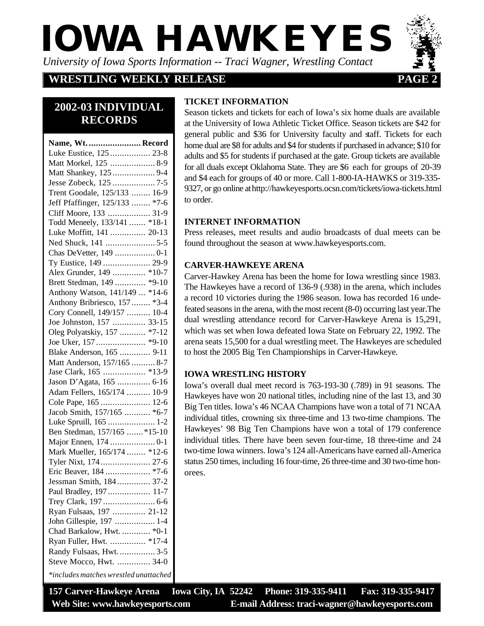# *University of Iowa Sports Information -- Traci Wagner, Wrestling Contact* **IOWA HAWKEYES**

#### **WRESTLING WEEKLY RELEASE 22 PAGE**



## **2002-03 INDIVIDUAL RECORDS**

| Name, Wt.  Record                     |
|---------------------------------------|
| Luke Eustice, 125  23-8               |
| Matt Morkel, 125  8-9                 |
| Matt Shankey, 125  9-4                |
|                                       |
| Trent Goodale, 125/133  16-9          |
| Jeff Pfaffinger, 125/133  *7-6        |
| Cliff Moore, 133  31-9                |
| Todd Meneely, 133/141  *18-1          |
| Luke Moffitt, 141  20-13              |
|                                       |
|                                       |
| Ty Eustice, 149  29-9                 |
| Alex Grunder, 149  *10-7              |
| Brett Stedman, 149  *9-10             |
| Anthony Watson, 141/149  *14-6        |
| Anthony Bribriesco, 157  *3-4         |
| Cory Connell, 149/157  10-4           |
| Joe Johnston, 157  33-15              |
| Oleg Polyatskiy, 157  *7-12           |
|                                       |
| Blake Anderson, 165  9-11             |
| Matt Anderson, 157/165  8-7           |
|                                       |
| Jason D'Agata, 165  6-16              |
| Adam Fellers, 165/174  10-9           |
| Cole Pape, 165  12-6                  |
| Jacob Smith, 157/165  *6-7            |
| Luke Spruill, 165  1-2                |
| Ben Stedman, 157/165  *15-10          |
| Major Ennen, 174  0-1                 |
| Mark Mueller, 165/174  *12-6          |
| Tyler Nixt, 174  27-6                 |
| Eric Beaver, 184  *7-6                |
| Jessman Smith, 184  37-2              |
| Paul Bradley, 197  11-7               |
| Trey Clark, 197  6-6                  |
| Ryan Fulsaas, 197  21-12              |
| John Gillespie, 197  1-4              |
| Chad Barkalow, Hwt.  * 0-1            |
| Ryan Fuller, Hwt.  *17-4              |
| Randy Fulsaas, Hwt.  3-5              |
| Steve Mocco, Hwt.  34-0               |
| *includes matches wrestled unattached |

#### **TICKET INFORMATION**

Season tickets and tickets for each of Iowa's six home duals are available at the University of Iowa Athletic Ticket Office. Season tickets are \$42 for general public and \$36 for University faculty and staff. Tickets for each home dual are \$8 for adults and \$4 for students if purchased in advance; \$10 for adults and \$5 for students if purchased at the gate. Group tickets are available for all duals except Oklahoma State. They are \$6 each for groups of 20-39 and \$4 each for groups of 40 or more. Call 1-800-IA-HAWKS or 319-335- 9327, or go online at http://hawkeyesports.ocsn.com/tickets/iowa-tickets.html to order.

#### **INTERNET INFORMATION**

Press releases, meet results and audio broadcasts of dual meets can be found throughout the season at www.hawkeyesports.com.

#### **CARVER-HAWKEYE ARENA**

Carver-Hawkey Arena has been the home for Iowa wrestling since 1983. The Hawkeyes have a record of 136-9 (.938) in the arena, which includes a record 10 victories during the 1986 season. Iowa has recorded 16 undefeated seasons in the arena, with the most recent (8-0) occurring last year.The dual wrestling attendance record for Carver-Hawkeye Arena is 15,291, which was set when Iowa defeated Iowa State on February 22, 1992. The arena seats 15,500 for a dual wrestling meet. The Hawkeyes are scheduled to host the 2005 Big Ten Championships in Carver-Hawkeye.

#### **IOWA WRESTLING HISTORY**

Iowa's overall dual meet record is 763-193-30 (.789) in 91 seasons. The Hawkeyes have won 20 national titles, including nine of the last 13, and 30 Big Ten titles. Iowa's 46 NCAA Champions have won a total of 71 NCAA individual titles, crowning six three-time and 13 two-time champions. The Hawkeyes' 98 Big Ten Champions have won a total of 179 conference individual titles. There have been seven four-time, 18 three-time and 24 two-time Iowa winners. Iowa's 124 all-Americans have earned all-America status 250 times, including 16 four-time, 26 three-time and 30 two-time honorees.

**157 Carver-Hawkeye Arena Iowa City, IA 52242 Phone: 319-335-9411 Fax: 319-335-9417 Web Site: www.hawkeyesports.com E-mail Address: traci-wagner@hawkeyesports.com**